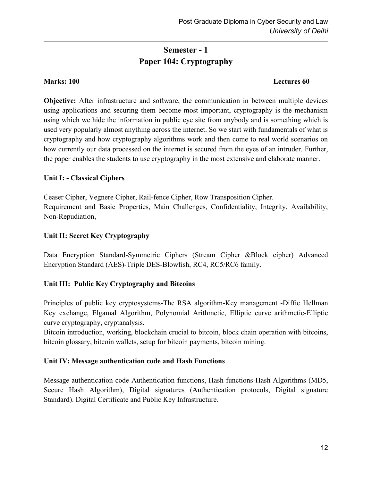# Semester - 1 Paper 104: Cryptography

#### Marks: 100 Lectures 60

Objective: After infrastructure and software, the communication in between multiple devices using applications and securing them become most important, cryptography is the mechanism using which we hide the information in public eye site from anybody and is something which is used very popularly almost anything across the internet. So we start with fundamentals of what is cryptography and how cryptography algorithms work and then come to real world scenarios on how currently our data processed on the internet is secured from the eyes of an intruder. Further, the paper enables the students to use cryptography in the most extensive and elaborate manner.

# Unit I: - Classical Ciphers

Ceaser Cipher, Vegnere Cipher, Rail-fence Cipher, Row Transposition Cipher. Requirement and Basic Properties, Main Challenges, Confidentiality, Integrity, Availability, Non-Repudiation,

### Unit II: Secret Key Cryptography

Data Encryption Standard-Symmetric Ciphers (Stream Cipher &Block cipher) Advanced Encryption Standard (AES)-Triple DES-Blowfish, RC4, RC5/RC6 family.

# Unit III: Public Key Cryptography and Bitcoins

Principles of public key cryptosystems-The RSA algorithm-Key management -Diffie Hellman Key exchange, Elgamal Algorithm, Polynomial Arithmetic, Elliptic curve arithmetic-Elliptic curve cryptography, cryptanalysis.

Bitcoin introduction, working, blockchain crucial to bitcoin, block chain operation with bitcoins, bitcoin glossary, bitcoin wallets, setup for bitcoin payments, bitcoin mining.

#### Unit IV: Message authentication code and Hash Functions

Message authentication code Authentication functions, Hash functions-Hash Algorithms (MD5, Secure Hash Algorithm), Digital signatures (Authentication protocols, Digital signature Standard). Digital Certificate and Public Key Infrastructure.